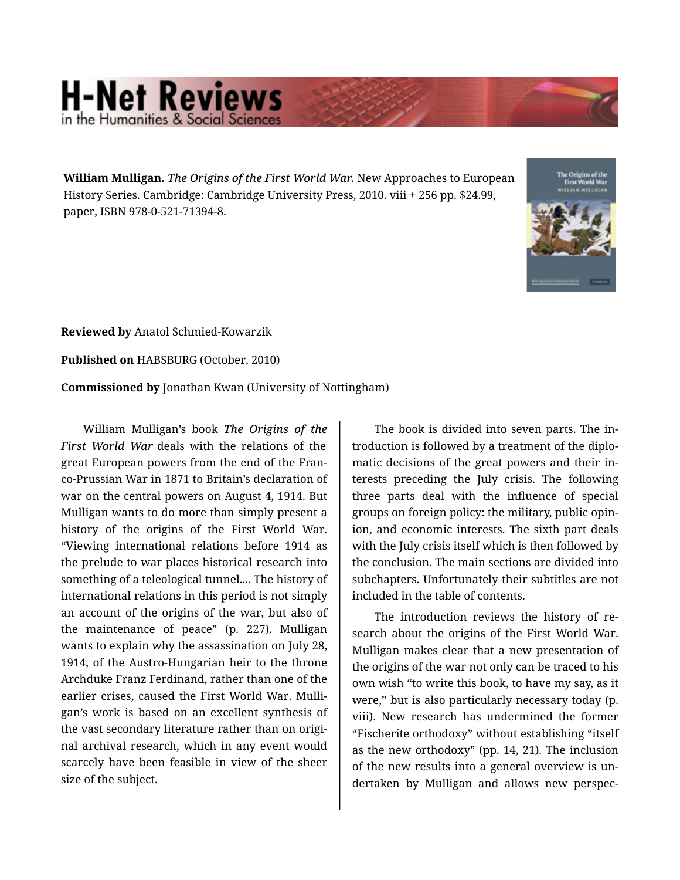## **H-Net Reviews** in the Humanities & Social Scie

**William Mulligan.** *The Origins of the First World War.* New Approaches to European History Series. Cambridge: Cambridge University Press, 2010. viii + 256 pp. \$24.99, paper, ISBN 978-0-521-71394-8.



**Reviewed by** Anatol Schmied-Kowarzik

**Published on** HABSBURG (October, 2010)

**Commissioned by** Jonathan Kwan (University of Nottingham)

William Mulligan's book *The Origins of the First World War* deals with the relations of the great European powers from the end of the Fran‐ co-Prussian War in 1871 to Britain's declaration of war on the central powers on August 4, 1914. But Mulligan wants to do more than simply present a history of the origins of the First World War. "Viewing international relations before 1914 as the prelude to war places historical research into something of a teleological tunnel.... The history of international relations in this period is not simply an account of the origins of the war, but also of the maintenance of peace" (p. 227). Mulligan wants to explain why the assassination on July 28, 1914, of the Austro-Hungarian heir to the throne Archduke Franz Ferdinand, rather than one of the earlier crises, caused the First World War. Mulli‐ gan's work is based on an excellent synthesis of the vast secondary literature rather than on origi‐ nal archival research, which in any event would scarcely have been feasible in view of the sheer size of the subject.

The book is divided into seven parts. The in‐ troduction is followed by a treatment of the diplo‐ matic decisions of the great powers and their in‐ terests preceding the July crisis. The following three parts deal with the influence of special groups on foreign policy: the military, public opin‐ ion, and economic interests. The sixth part deals with the July crisis itself which is then followed by the conclusion. The main sections are divided into subchapters. Unfortunately their subtitles are not included in the table of contents.

The introduction reviews the history of re‐ search about the origins of the First World War. Mulligan makes clear that a new presentation of the origins of the war not only can be traced to his own wish "to write this book, to have my say, as it were," but is also particularly necessary today (p. viii). New research has undermined the former "Fischerite orthodoxy" without establishing "itself as the new orthodoxy" (pp. 14, 21). The inclusion of the new results into a general overview is un‐ dertaken by Mulligan and allows new perspec‐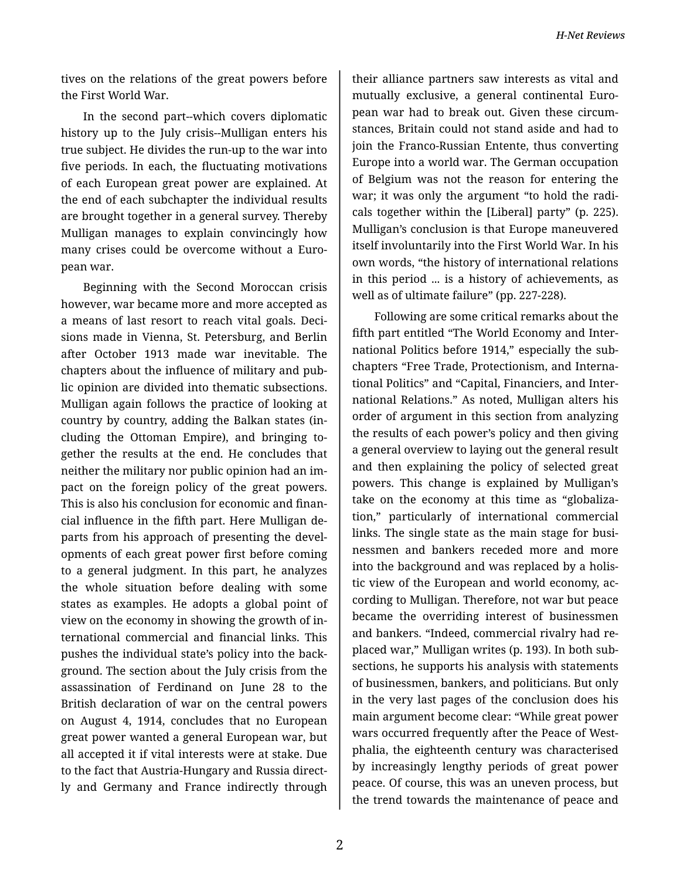tives on the relations of the great powers before the First World War.

In the second part--which covers diplomatic history up to the July crisis--Mulligan enters his true subject. He divides the run-up to the war into five periods. In each, the fluctuating motivations of each European great power are explained. At the end of each subchapter the individual results are brought together in a general survey. Thereby Mulligan manages to explain convincingly how many crises could be overcome without a Euro‐ pean war.

Beginning with the Second Moroccan crisis however, war became more and more accepted as a means of last resort to reach vital goals. Deci‐ sions made in Vienna, St. Petersburg, and Berlin after October 1913 made war inevitable. The chapters about the influence of military and pub‐ lic opinion are divided into thematic subsections. Mulligan again follows the practice of looking at country by country, adding the Balkan states (in‐ cluding the Ottoman Empire), and bringing to‐ gether the results at the end. He concludes that neither the military nor public opinion had an im‐ pact on the foreign policy of the great powers. This is also his conclusion for economic and finan‐ cial influence in the fifth part. Here Mulligan de‐ parts from his approach of presenting the developments of each great power first before coming to a general judgment. In this part, he analyzes the whole situation before dealing with some states as examples. He adopts a global point of view on the economy in showing the growth of in‐ ternational commercial and financial links. This pushes the individual state's policy into the back‐ ground. The section about the July crisis from the assassination of Ferdinand on June 28 to the British declaration of war on the central powers on August 4, 1914, concludes that no European great power wanted a general European war, but all accepted it if vital interests were at stake. Due to the fact that Austria-Hungary and Russia direct‐ ly and Germany and France indirectly through

their alliance partners saw interests as vital and mutually exclusive, a general continental Euro‐ pean war had to break out. Given these circum‐ stances, Britain could not stand aside and had to join the Franco-Russian Entente, thus converting Europe into a world war. The German occupation of Belgium was not the reason for entering the war; it was only the argument "to hold the radi‐ cals together within the [Liberal] party" (p. 225). Mulligan's conclusion is that Europe maneuvered itself involuntarily into the First World War. In his own words, "the history of international relations in this period ... is a history of achievements, as well as of ultimate failure" (pp. 227-228).

Following are some critical remarks about the fifth part entitled "The World Economy and Inter‐ national Politics before 1914," especially the sub‐ chapters "Free Trade, Protectionism, and Interna‐ tional Politics" and "Capital, Financiers, and Inter‐ national Relations." As noted, Mulligan alters his order of argument in this section from analyzing the results of each power's policy and then giving a general overview to laying out the general result and then explaining the policy of selected great powers. This change is explained by Mulligan's take on the economy at this time as "globaliza‐ tion," particularly of international commercial links. The single state as the main stage for busi‐ nessmen and bankers receded more and more into the background and was replaced by a holis‐ tic view of the European and world economy, ac‐ cording to Mulligan. Therefore, not war but peace became the overriding interest of businessmen and bankers. "Indeed, commercial rivalry had re‐ placed war," Mulligan writes (p. 193). In both sub‐ sections, he supports his analysis with statements of businessmen, bankers, and politicians. But only in the very last pages of the conclusion does his main argument become clear: "While great power wars occurred frequently after the Peace of West‐ phalia, the eighteenth century was characterised by increasingly lengthy periods of great power peace. Of course, this was an uneven process, but the trend towards the maintenance of peace and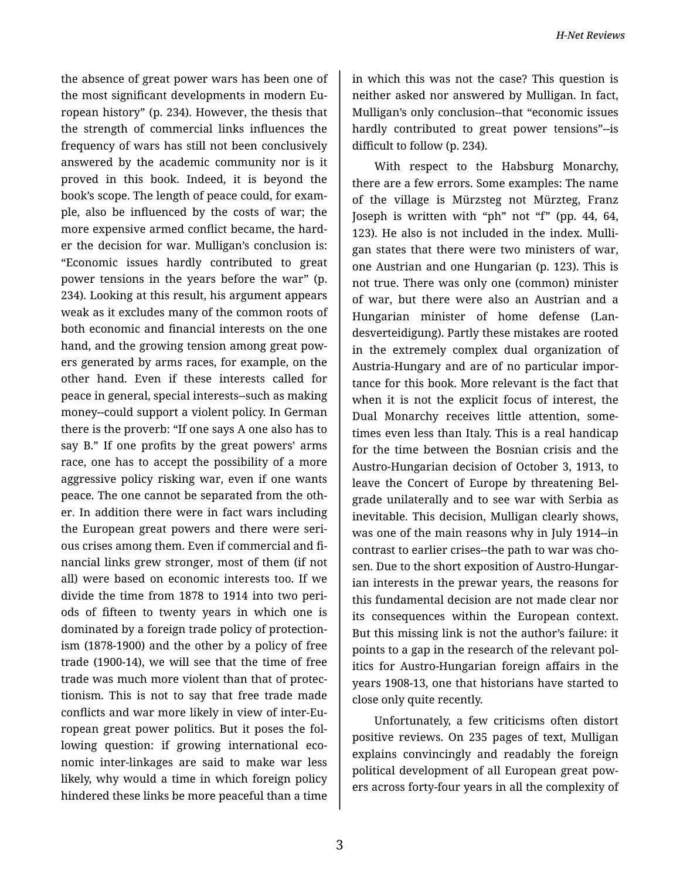the absence of great power wars has been one of the most significant developments in modern Eu‐ ropean history" (p. 234). However, the thesis that the strength of commercial links influences the frequency of wars has still not been conclusively answered by the academic community nor is it proved in this book. Indeed, it is beyond the book's scope. The length of peace could, for exam‐ ple, also be influenced by the costs of war; the more expensive armed conflict became, the hard‐ er the decision for war. Mulligan's conclusion is: "Economic issues hardly contributed to great power tensions in the years before the war" (p. 234). Looking at this result, his argument appears weak as it excludes many of the common roots of both economic and financial interests on the one hand, and the growing tension among great pow‐ ers generated by arms races, for example, on the other hand. Even if these interests called for peace in general, special interests--such as making money--could support a violent policy. In German there is the proverb: "If one says A one also has to say B." If one profits by the great powers' arms race, one has to accept the possibility of a more aggressive policy risking war, even if one wants peace. The one cannot be separated from the oth‐ er. In addition there were in fact wars including the European great powers and there were seri‐ ous crises among them. Even if commercial and fi‐ nancial links grew stronger, most of them (if not all) were based on economic interests too. If we divide the time from 1878 to 1914 into two peri‐ ods of fifteen to twenty years in which one is dominated by a foreign trade policy of protection‐ ism (1878-1900) and the other by a policy of free trade (1900-14), we will see that the time of free trade was much more violent than that of protec‐ tionism. This is not to say that free trade made conflicts and war more likely in view of inter-Eu‐ ropean great power politics. But it poses the fol‐ lowing question: if growing international economic inter-linkages are said to make war less likely, why would a time in which foreign policy hindered these links be more peaceful than a time

in which this was not the case? This question is neither asked nor answered by Mulligan. In fact, Mulligan's only conclusion--that "economic issues hardly contributed to great power tensions"--is difficult to follow (p. 234).

With respect to the Habsburg Monarchy, there are a few errors. Some examples: The name of the village is Mürzsteg not Mürzteg, Franz Joseph is written with "ph" not "f" (pp. 44, 64, 123). He also is not included in the index. Mulli‐ gan states that there were two ministers of war, one Austrian and one Hungarian (p. 123). This is not true. There was only one (common) minister of war, but there were also an Austrian and a Hungarian minister of home defense (Lan‐ desverteidigung). Partly these mistakes are rooted in the extremely complex dual organization of Austria-Hungary and are of no particular impor‐ tance for this book. More relevant is the fact that when it is not the explicit focus of interest, the Dual Monarchy receives little attention, some‐ times even less than Italy. This is a real handicap for the time between the Bosnian crisis and the Austro-Hungarian decision of October 3, 1913, to leave the Concert of Europe by threatening Bel‐ grade unilaterally and to see war with Serbia as inevitable. This decision, Mulligan clearly shows, was one of the main reasons why in July 1914--in contrast to earlier crises--the path to war was cho‐ sen. Due to the short exposition of Austro-Hungarian interests in the prewar years, the reasons for this fundamental decision are not made clear nor its consequences within the European context. But this missing link is not the author's failure: it points to a gap in the research of the relevant pol‐ itics for Austro-Hungarian foreign affairs in the years 1908-13, one that historians have started to close only quite recently.

Unfortunately, a few criticisms often distort positive reviews. On 235 pages of text, Mulligan explains convincingly and readably the foreign political development of all European great pow‐ ers across forty-four years in all the complexity of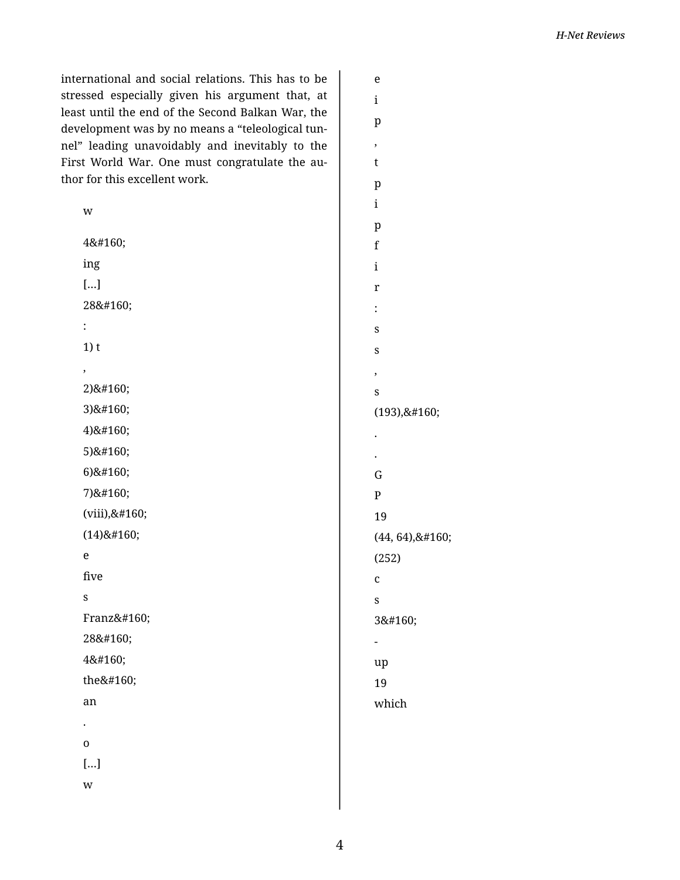international and social relations. This has to be stressed especially given his argument that, at least until the end of the Second Balkan War, the development was by no means a "teleological tunnel" leading unavoidably and inevitably to the First World War. One must congratulate the author for this excellent work.

| w              |  |
|----------------|--|
| 4              |  |
| ing            |  |
| []             |  |
| 28             |  |
| $\ddot{\cdot}$ |  |
| $1)$ t         |  |
| ,              |  |
| 2)             |  |
| 3)             |  |
| 4)             |  |
| 5)             |  |
| 6)             |  |
| 7)             |  |
| (viii),        |  |
| $(14)$         |  |
| e              |  |
| five           |  |
| S              |  |
| Franz          |  |
| 28             |  |
| 4              |  |
| the            |  |
| an             |  |
|                |  |
| $\overline{0}$ |  |
| $[]$           |  |
| $\mathbf{w}$   |  |
|                |  |

| e              |
|----------------|
| i              |
| p              |
| ,              |
| t              |
| $\mathbf{p}$   |
| $\mathbf{i}$   |
| p              |
| f              |
| i              |
| r              |
| $\ddot{\cdot}$ |
| S              |
| S              |
| ,              |
| S              |
| (193),         |
|                |
|                |
| G              |
| $\overline{P}$ |
| 19             |
| (44, 64),      |
| (252)          |
| C              |
| S              |
| 3              |
|                |
| up             |
| 19             |
| which          |
|                |
|                |
|                |